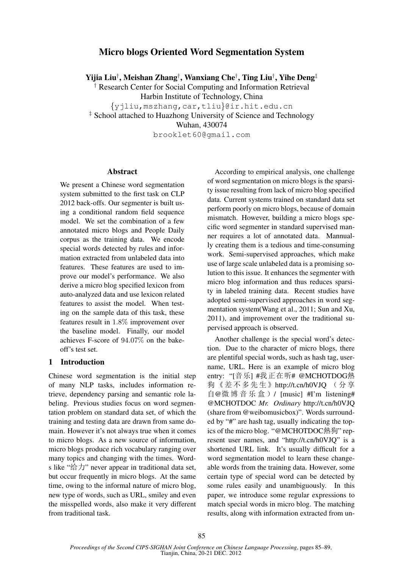# Micro blogs Oriented Word Segmentation System

Yijia Liu*†* , Meishan Zhang*†* , Wanxiang Che*†* , Ting Liu*†* , Yihe Deng*‡*

*†* Research Center for Social Computing and Information Retrieval Harbin Institute of Technology, China

*{*yjliu,mszhang,car,tliu*}*@ir.hit.edu.cn

*‡* School attached to Huazhong University of Science and Technology

Wuhan, 430074

brooklet60@gmail.com

#### Abstract

We present a Chinese word segmentation system submitted to the first task on CLP 2012 back-offs. Our segmenter is built using a conditional random field sequence model. We set the combination of a few annotated micro blogs and People Daily corpus as the training data. We encode special words detected by rules and information extracted from unlabeled data into features. These features are used to improve our model's performance. We also derive a micro blog specified lexicon from auto-analyzed data and use lexicon related features to assist the model. When testing on the sample data of this task, these features result in 1*.*8% improvement over the baseline model. Finally, our model achieves F-score of 94*.*07% on the bakeoff's test set.

#### 1 Introduction

Chinese word segmentation is the initial step of many NLP tasks, includes information retrieve, dependency parsing and semantic role labeling. Previous studies focus on word segmentation problem on standard data set, of which the training and testing data are drawn from same domain. However it's not always true when it comes to micro blogs. As a new source of information, micro blogs produce rich vocabulary ranging over many topics and changing with the times. Words like "给力" never appear in traditional data set, but occur frequently in micro blogs. At the same time, owing to the informal nature of micro blog, new type of words, such as URL, smiley and even the misspelled words, also make it very different from traditional task.

According to empirical analysis, one challenge of word segmentation on micro blogs is the sparsity issue resulting from lack of micro blog specified data. Current systems trained on standard data set perform poorly on micro blogs, because of domain mismatch. However, building a micro blogs specific word segmenter in standard supervised manner requires a lot of annotated data. Mannually creating them is a tedious and time-consuming work. Semi-supervised approaches, which make use of large scale unlabeled data is a promising solution to this issue. It enhances the segmenter with micro blog information and thus reduces sparsity in labeled training data. Recent studies have adopted semi-supervised approaches in word segmentation system(Wang et al., 2011; Sun and Xu, 2011), and improvement over the traditional supervised approach is observed.

Another challenge is the special word's detection. Due to the character of micro blogs, there are plentiful special words, such as hash tag, username, URL. Here is an example of micro blog entry: "[音乐] #我正在听# @MCHOTDOG熱 狗 《差不多先生》http://t.cn/h0VJQ (分享 自@微 博 音 乐 盒 )/ [music] #I'm listening# @MCHOTDOC *Mr. Ordinary* http://t.cn/h0VJQ (share from @weibomusicbox)". Words surrounded by "#" are hash tag, usually indicating the topics of the micro blog. "@MCHOTDOC熱狗" represent user names, and "http://t.cn/h0VJQ" is a shortened URL link. It's usually difficult for a word segmentation model to learn these changeable words from the training data. However, some certain type of special word can be detected by some rules easily and unambiguously. In this paper, we introduce some regular expressions to match special words in micro blog. The matching results, along with information extracted from un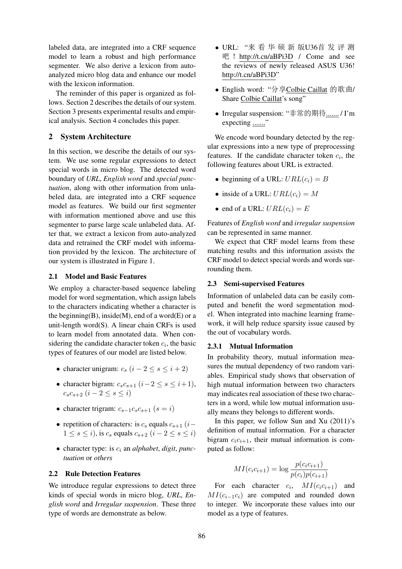labeled data, are integrated into a CRF sequence model to learn a robust and high performance segmenter. We also derive a lexicon from autoanalyzed micro blog data and enhance our model with the lexicon information.

The reminder of this paper is organized as follows. Section 2 describes the details of our system. Section 3 presents experimental results and empirical analysis. Section 4 concludes this paper.

### 2 System Architecture

In this section, we describe the details of our system. We use some regular expressions to detect special words in micro blog. The detected word boundary of *URL*, *English word* and *special punctuation*, along with other information from unlabeled data, are integrated into a CRF sequence model as features. We build our first segmenter with information mentioned above and use this segmenter to parse large scale unlabeled data. After that, we extract a lexicon from auto-analyzed data and retrained the CRF model with information provided by the lexicon. The architecture of our system is illustrated in Figure 1.

### 2.1 Model and Basic Features

We employ a character-based sequence labeling model for word segmentation, which assign labels to the characters indicating whether a character is the beginning(B), inside(M), end of a word(E) or a unit-length word(S). A linear chain CRFs is used to learn model from annotated data. When considering the candidate character token  $c_i$ , the basic types of features of our model are listed below.

- character unigram:  $c_s$   $(i-2 \leq s \leq i+2)$
- *•* character bigram: *cscs*+1 (*i−*2 *≤ s ≤ i*+ 1),  $c_s c_{s+2}$  (*i* − 2 ≤ *s* ≤ *i*)
- character trigram:  $c_{s-1}c_s c_{s+1}$  ( $s = i$ )
- *•* repetition of characters: is *c<sup>s</sup>* equals *cs*+1 (*i−* 1 ≤ *s* ≤ *i*), is  $c_s$  equals  $c_{s+2}$  ( $i-2 \leq s \leq i$ )
- *•* character type: is *c<sup>i</sup>* an *alphabet*, *digit*, *punctuation* or *others*

#### 2.2 Rule Detection Features

We introduce regular expressions to detect three kinds of special words in micro blog, *URL*, *English word* and *Irregular suspension*. These three type of words are demonstrate as below.

- *•* URL: "来 看 华 硕 新 版U36首 发 评 测 吧 ! http://t.cn/aBPi3D / Come and see the reviews of newly released ASUS U36! http://t.cn/aBPi3D"
- *•* English word: "分享Colbie Caillat 的歌曲/ Share Colbie Caillat's song"
- *•* Irregular suspension: "非常的期待....... / I'm expecting ......."

We encode word boundary detected by the regular expressions into a new type of preprocessing features. If the candidate character token  $c_i$ , the following features about URL is extracted.

- beginning of a URL:  $URL(C_i) = B$
- inside of a URL:  $URL (c_i) = M$
- end of a URL:  $URL(C_i) = E$

Features of *English word* and *irregular suspension* can be represented in same manner.

We expect that CRF model learns from these matching results and this information assists the CRF model to detect special words and words surrounding them.

### 2.3 Semi-supervised Features

Information of unlabeled data can be easily computed and benefit the word segmentation model. When integrated into machine learning framework, it will help reduce sparsity issue caused by the out of vocabulary words.

### 2.3.1 Mutual Information

In probability theory, mutual information measures the mutual dependency of two random variables. Empirical study shows that observation of high mutual information between two characters may indicates real association of these two characters in a word, while low mutual information usually means they belongs to different words.

In this paper, we follow Sun and Xu (2011)'s definition of mutual information. For a character bigram  $c_i c_{i+1}$ , their mutual information is computed as follow:

$$
MI(c_i c_{i+1}) = \log \frac{p(c_i c_{i+1})}{p(c_i) p(c_{i+1})}
$$

For each character  $c_i$ ,  $MI(c_i c_{i+1})$  and  $MI(c_{i-1}c_i)$  are computed and rounded down to integer. We incorporate these values into our model as a type of features.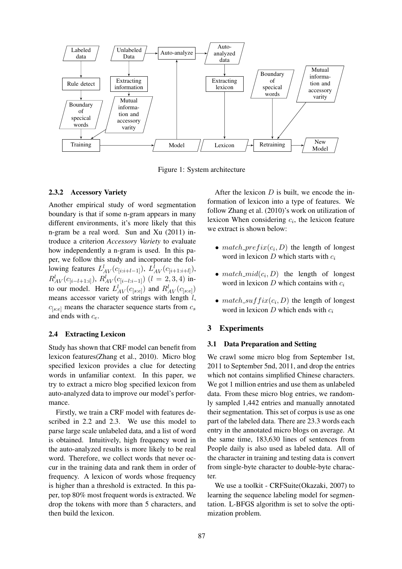

Figure 1: System architecture

#### 2.3.2 Accessory Variety

Another empirical study of word segmentation boundary is that if some n-gram appears in many different environments, it's more likely that this n-gram be a real word. Sun and Xu (2011) introduce a criterion *Accessory Variety* to evaluate how independently a n-gram is used. In this paper, we follow this study and incorporate the following features  $L_{AV}^{l}(c_{[i:i+l-1]}), L_{AV}^{l}(c_{[i+1:i+l]}),$  $R_{AV}^l(c_{[i-l+1:i]})$ ,  $R_{AV}^l(c_{[i-l:i-1]})$  (*l* = 2*,* 3*,* 4) into our model. Here  $L_{AV}^{l}(c_{[s:e]})$  and  $R_{AV}^{l}(c_{[s:e]})$ means accessor variety of strings with length *l*,  $c_{[s:e]}$  means the character sequence starts from  $c_s$ and ends with *ce*.

## 2.4 Extracting Lexicon

Study has shown that CRF model can benefit from lexicon features(Zhang et al., 2010). Micro blog specified lexicon provides a clue for detecting words in unfamiliar context. In this paper, we try to extract a micro blog specified lexicon from auto-analyzed data to improve our model's performance.

Firstly, we train a CRF model with features described in 2.2 and 2.3. We use this model to parse large scale unlabeled data, and a list of word is obtained. Intuitively, high frequency word in the auto-analyzed results is more likely to be real word. Therefore, we collect words that never occur in the training data and rank them in order of frequency. A lexicon of words whose frequency is higher than a threshold is extracted. In this paper, top 80% most frequent words is extracted. We drop the tokens with more than 5 characters, and then build the lexicon.

After the lexicon *D* is built, we encode the information of lexicon into a type of features. We follow Zhang et al. (2010)'s work on utilization of lexicon When considering *c<sup>i</sup>* , the lexicon feature we extract is shown below:

- $match\_prefix(c_i, D)$  the length of longest word in lexicon *D* which starts with *c<sup>i</sup>*
- *• match mid*(*c<sup>i</sup> , D*) the length of longest word in lexicon *D* which contains with *c<sup>i</sup>*
- $match\_suffix(c_i, D)$  the length of longest word in lexicon *D* which ends with *c<sup>i</sup>*

## 3 Experiments

### 3.1 Data Preparation and Setting

We crawl some micro blog from September 1st, 2011 to September 5nd, 2011, and drop the entries which not contains simplified Chinese characters. We got 1 million entries and use them as unlabeled data. From these micro blog entries, we randomly sampled 1,442 entries and manually annotated their segmentation. This set of corpus is use as one part of the labeled data. There are 23.3 words each entry in the annotated micro blogs on average. At the same time, 183,630 lines of sentences from People daily is also used as labeled data. All of the character in training and testing data is convert from single-byte character to double-byte character.

We use a toolkit - CRFSuite(Okazaki, 2007) to learning the sequence labeling model for segmentation. L-BFGS algorithm is set to solve the optimization problem.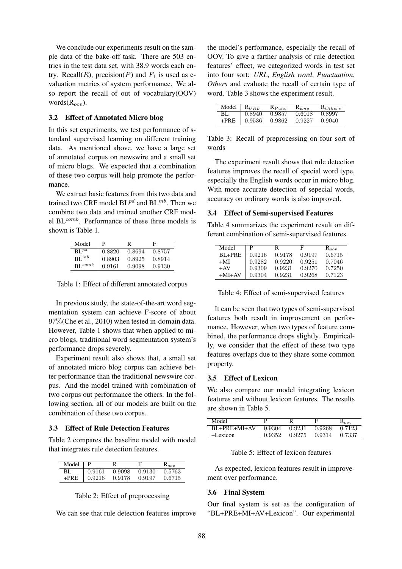We conclude our experiments result on the sample data of the bake-off task. There are 503 entries in the test data set, with 38.9 words each entry. Recall $(R)$ , precision $(P)$  and  $F_1$  is used as evaluation metrics of system performance. We also report the recall of out of vocabulary(OOV) words(R*oov*).

#### 3.2 Effect of Annotated Micro blog

In this set experiments, we test performance of standard supervised learning on different training data. As mentioned above, we have a large set of annotated corpus on newswire and a small set of micro blogs. We expected that a combination of these two corpus will help promote the performance.

We extract basic features from this two data and trained two CRF model BL*pd* and BL*mb*. Then we combine two data and trained another CRF model BL*comb*. Performance of these three models is shown is Table 1.

| Model                  | р      |        |        |
|------------------------|--------|--------|--------|
| $\mathbf{R}$ I $^{pd}$ | 0.8820 | 0.8694 | 0.8757 |
| $\mathbf{B}$ L $^{mb}$ | 0.8903 | 0.8925 | 0.8914 |
| $BL^{comb}$            | 0.9161 | 0.9098 | 0.9130 |

Table 1: Effect of different annotated corpus

In previous study, the state-of-the-art word segmentation system can achieve F-score of about 97%(Che et al., 2010) when tested in-domain data. However, Table 1 shows that when applied to micro blogs, traditional word segmentation system's performance drops severely.

Experiment result also shows that, a small set of annotated micro blog corpus can achieve better performance than the traditional newswire corpus. And the model trained with combination of two corpus out performance the others. In the following section, all of our models are built on the combination of these two corpus.

#### 3.3 Effect of Rule Detection Features

Table 2 compares the baseline model with model that integrates rule detection features.

| Model  |        |        |        | $\rm R_{\it oov}$ |
|--------|--------|--------|--------|-------------------|
| BL.    | 0.9161 | 0.9098 | 0.9130 | 0.5763            |
| $+PRE$ | 0.9216 | 0.9178 | 0.9197 | 0.6715            |

#### Table 2: Effect of preprocessing

We can see that rule detection features improve

the model's performance, especially the recall of OOV. To give a farther analysis of rule detection features' effect, we categorized words in test set into four sort: *URL*, *English word*, *Punctuation*, *Others* and evaluate the recall of certain type of word. Table 3 shows the experiment result.

| Model $\mid R_{UBL}$ |        | $R_{Punc}$ | $R_{Ena}$ | $R_{Others}$ |
|----------------------|--------|------------|-----------|--------------|
| BL.                  | 0.8940 | 0.9857     | 0.6018    | 0.8997       |
| $+PRE$               | 0.9536 | 0.9862     | 0.9227    | 0.9040       |

Table 3: Recall of preprocessing on four sort of words

The experiment result shows that rule detection features improves the recall of special word type, especially the English words occur in micro blog. With more accurate detection of sepecial words, accuracy on ordinary words is also improved.

### 3.4 Effect of Semi-supervised Features

Table 4 summarizes the experiment result on different combination of semi-supervised features.

| Model      | Р      | R      | F      | $R_{\alpha\alpha\nu}$ |
|------------|--------|--------|--------|-----------------------|
| $BI + PRE$ | 0.9216 | 0.9178 | 0.9197 | 0.6715                |
| $+MI$      | 0.9282 | 0.9220 | 0.9251 | 0.7046                |
| $+AV$      | 0.9309 | 0.9231 | 0.9270 | 0.7250                |
| $+MI+AV$   | 0.9304 | 0.9231 | 0.9268 | 0.7123                |

Table 4: Effect of semi-supervised features

It can be seen that two types of semi-supervised features both result in improvement on performance. However, when two types of feature combined, the performance drops slightly. Empirically, we consider that the effect of these two type features overlaps due to they share some common property.

#### 3.5 Effect of Lexicon

We also compare our model integrating lexicon features and without lexicon features. The results are shown in Table 5.

| Model                |        |        | F      | $R_{\text{ov}}$ |
|----------------------|--------|--------|--------|-----------------|
| $BL + PRE + MI + AV$ | 0.9304 | 0.9231 | 0.9268 | 0.7123          |
| $+I$ exicon          | 0.9352 | 0.9275 | 0.9314 | 0.7337          |

As expected, lexicon features result in improvement over performance.

#### 3.6 Final System

Our final system is set as the configuration of "BL+PRE+MI+AV+Lexicon". Our experimental